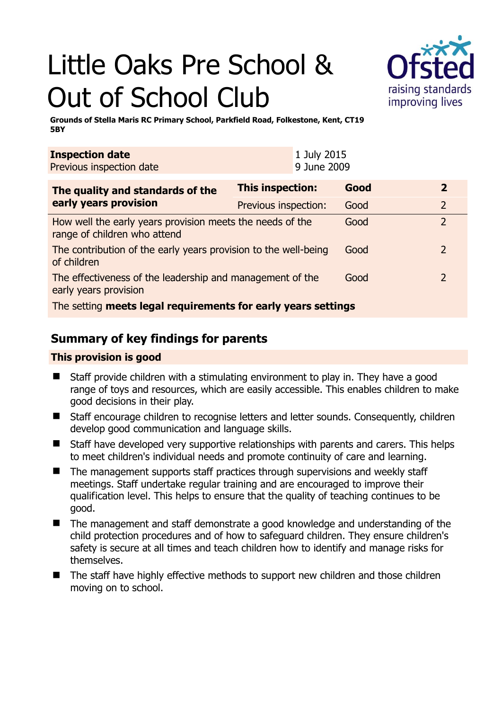# Little Oaks Pre School & Out of School Club



**Grounds of Stella Maris RC Primary School, Parkfield Road, Folkestone, Kent, CT19 5BY** 

| <b>Inspection date</b><br>Previous inspection date                                        | 1 July 2015<br>9 June 2009 |      |                |  |
|-------------------------------------------------------------------------------------------|----------------------------|------|----------------|--|
| The quality and standards of the<br>early years provision                                 | <b>This inspection:</b>    | Good | $\overline{2}$ |  |
|                                                                                           | Previous inspection:       | Good | $\overline{2}$ |  |
| How well the early years provision meets the needs of the<br>range of children who attend |                            | Good | $\overline{2}$ |  |
| The contribution of the early years provision to the well-being<br>of children            |                            | Good | $\overline{2}$ |  |
| The effectiveness of the leadership and management of the<br>early years provision        |                            | Good | $\overline{2}$ |  |
| The setting meets legal requirements for early years settings                             |                            |      |                |  |

# **Summary of key findings for parents**

## **This provision is good**

- Staff provide children with a stimulating environment to play in. They have a good range of toys and resources, which are easily accessible. This enables children to make good decisions in their play.
- Staff encourage children to recognise letters and letter sounds. Consequently, children develop good communication and language skills.
- Staff have developed very supportive relationships with parents and carers. This helps to meet children's individual needs and promote continuity of care and learning.
- $\blacksquare$  The management supports staff practices through supervisions and weekly staff meetings. Staff undertake regular training and are encouraged to improve their qualification level. This helps to ensure that the quality of teaching continues to be good.
- The management and staff demonstrate a good knowledge and understanding of the child protection procedures and of how to safeguard children. They ensure children's safety is secure at all times and teach children how to identify and manage risks for themselves.
- The staff have highly effective methods to support new children and those children moving on to school.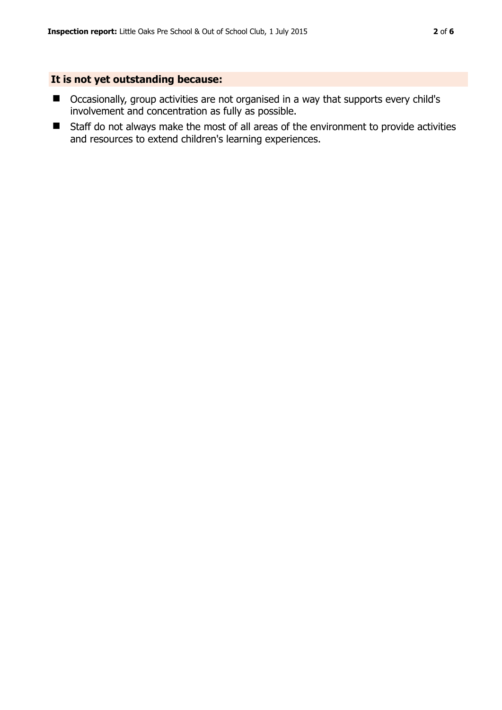## **It is not yet outstanding because:**

- Occasionally, group activities are not organised in a way that supports every child's involvement and concentration as fully as possible.
- Staff do not always make the most of all areas of the environment to provide activities and resources to extend children's learning experiences.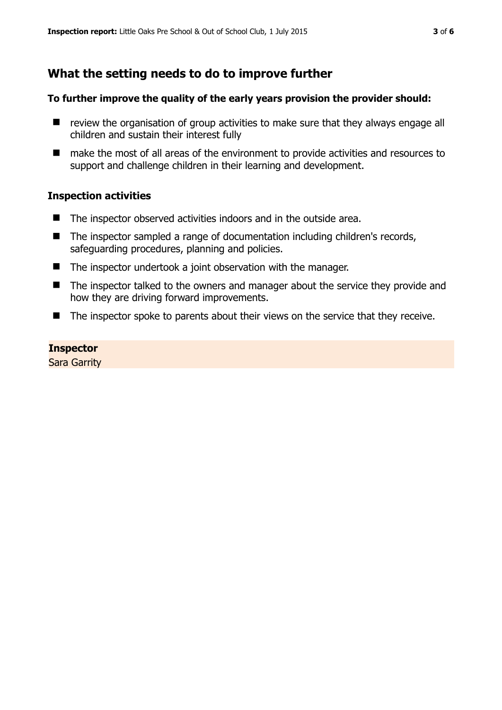# **What the setting needs to do to improve further**

## **To further improve the quality of the early years provision the provider should:**

- $\blacksquare$  review the organisation of group activities to make sure that they always engage all children and sustain their interest fully
- make the most of all areas of the environment to provide activities and resources to support and challenge children in their learning and development.

## **Inspection activities**

- The inspector observed activities indoors and in the outside area.
- The inspector sampled a range of documentation including children's records, safeguarding procedures, planning and policies.
- The inspector undertook a joint observation with the manager.
- The inspector talked to the owners and manager about the service they provide and how they are driving forward improvements.
- The inspector spoke to parents about their views on the service that they receive.

## **Inspector**

Sara Garrity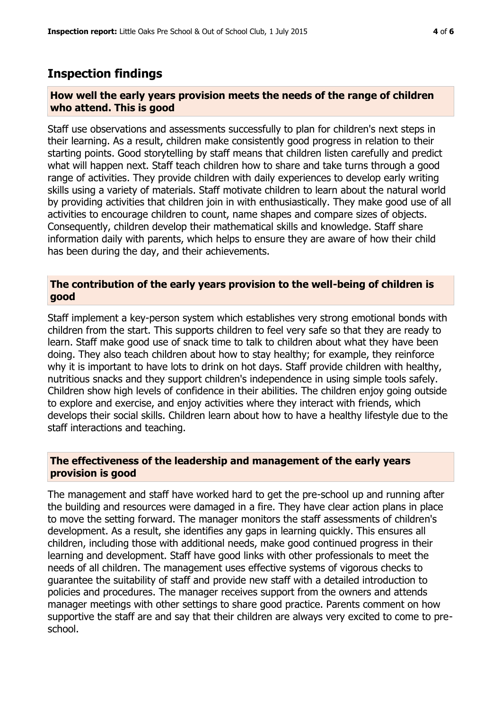# **Inspection findings**

#### **How well the early years provision meets the needs of the range of children who attend. This is good**

Staff use observations and assessments successfully to plan for children's next steps in their learning. As a result, children make consistently good progress in relation to their starting points. Good storytelling by staff means that children listen carefully and predict what will happen next. Staff teach children how to share and take turns through a good range of activities. They provide children with daily experiences to develop early writing skills using a variety of materials. Staff motivate children to learn about the natural world by providing activities that children join in with enthusiastically. They make good use of all activities to encourage children to count, name shapes and compare sizes of objects. Consequently, children develop their mathematical skills and knowledge. Staff share information daily with parents, which helps to ensure they are aware of how their child has been during the day, and their achievements.

## **The contribution of the early years provision to the well-being of children is good**

Staff implement a key-person system which establishes very strong emotional bonds with children from the start. This supports children to feel very safe so that they are ready to learn. Staff make good use of snack time to talk to children about what they have been doing. They also teach children about how to stay healthy; for example, they reinforce why it is important to have lots to drink on hot days. Staff provide children with healthy, nutritious snacks and they support children's independence in using simple tools safely. Children show high levels of confidence in their abilities. The children enjoy going outside to explore and exercise, and enjoy activities where they interact with friends, which develops their social skills. Children learn about how to have a healthy lifestyle due to the staff interactions and teaching.

## **The effectiveness of the leadership and management of the early years provision is good**

The management and staff have worked hard to get the pre-school up and running after the building and resources were damaged in a fire. They have clear action plans in place to move the setting forward. The manager monitors the staff assessments of children's development. As a result, she identifies any gaps in learning quickly. This ensures all children, including those with additional needs, make good continued progress in their learning and development. Staff have good links with other professionals to meet the needs of all children. The management uses effective systems of vigorous checks to guarantee the suitability of staff and provide new staff with a detailed introduction to policies and procedures. The manager receives support from the owners and attends manager meetings with other settings to share good practice. Parents comment on how supportive the staff are and say that their children are always very excited to come to preschool.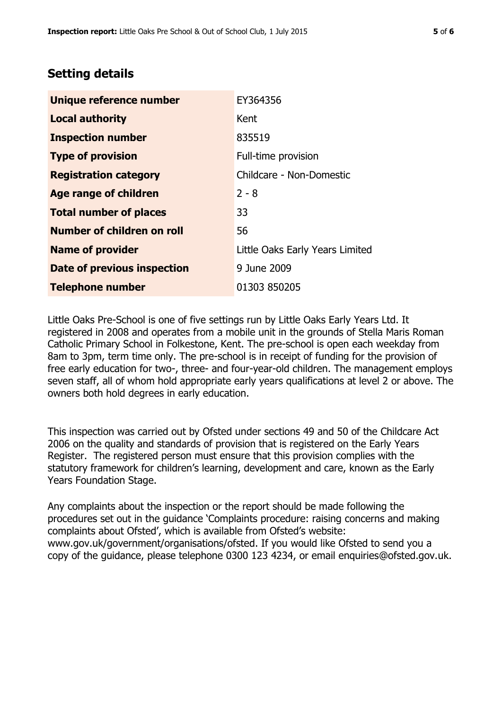# **Setting details**

| Unique reference number       | EY364356                        |
|-------------------------------|---------------------------------|
| <b>Local authority</b>        | Kent                            |
| <b>Inspection number</b>      | 835519                          |
| <b>Type of provision</b>      | Full-time provision             |
| <b>Registration category</b>  | Childcare - Non-Domestic        |
| <b>Age range of children</b>  | $2 - 8$                         |
| <b>Total number of places</b> | 33                              |
| Number of children on roll    | 56                              |
| <b>Name of provider</b>       | Little Oaks Early Years Limited |
| Date of previous inspection   | 9 June 2009                     |
| <b>Telephone number</b>       | 01303 850205                    |

Little Oaks Pre-School is one of five settings run by Little Oaks Early Years Ltd. It registered in 2008 and operates from a mobile unit in the grounds of Stella Maris Roman Catholic Primary School in Folkestone, Kent. The pre-school is open each weekday from 8am to 3pm, term time only. The pre-school is in receipt of funding for the provision of free early education for two-, three- and four-year-old children. The management employs seven staff, all of whom hold appropriate early years qualifications at level 2 or above. The owners both hold degrees in early education.

This inspection was carried out by Ofsted under sections 49 and 50 of the Childcare Act 2006 on the quality and standards of provision that is registered on the Early Years Register. The registered person must ensure that this provision complies with the statutory framework for children's learning, development and care, known as the Early Years Foundation Stage.

Any complaints about the inspection or the report should be made following the procedures set out in the guidance 'Complaints procedure: raising concerns and making complaints about Ofsted', which is available from Ofsted's website: www.gov.uk/government/organisations/ofsted. If you would like Ofsted to send you a copy of the guidance, please telephone 0300 123 4234, or email enquiries@ofsted.gov.uk.